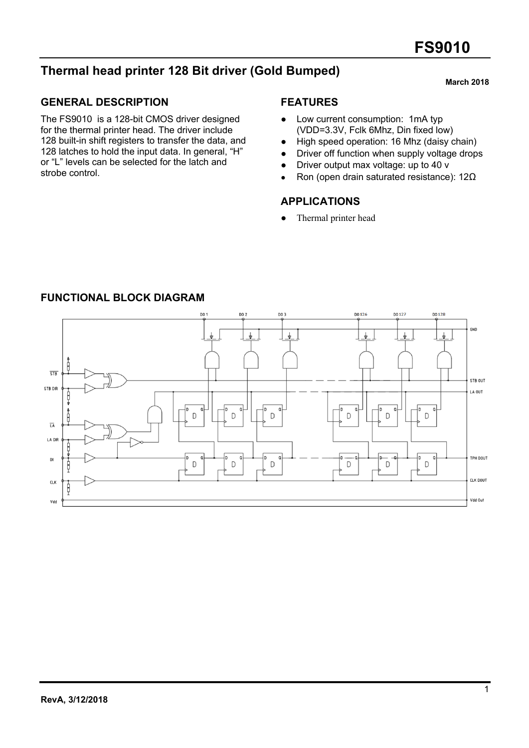# **Thermal head printer 128 Bit driver (Gold Bumped)**

# **GENERAL DESCRIPTION**

The FS9010 is a 128-bit CMOS driver designed for the thermal printer head. The driver include 128 built-in shift registers to transfer the data, and 128 latches to hold the input data. In general, "H" or "L" levels can be selected for the latch and strobe control.

#### **FEATURES**

- Low current consumption: 1mA typ (VDD=3.3V, Fclk 6Mhz, Din fixed low)
- High speed operation: 16 Mhz (daisy chain)
- Driver off function when supply voltage drops
- Driver output max voltage: up to 40 v
- Ron (open drain saturated resistance): 12Ω

### **APPLICATIONS**

• Thermal printer head



#### **FUNCTIONAL BLOCK DIAGRAM**

#### **March 2018**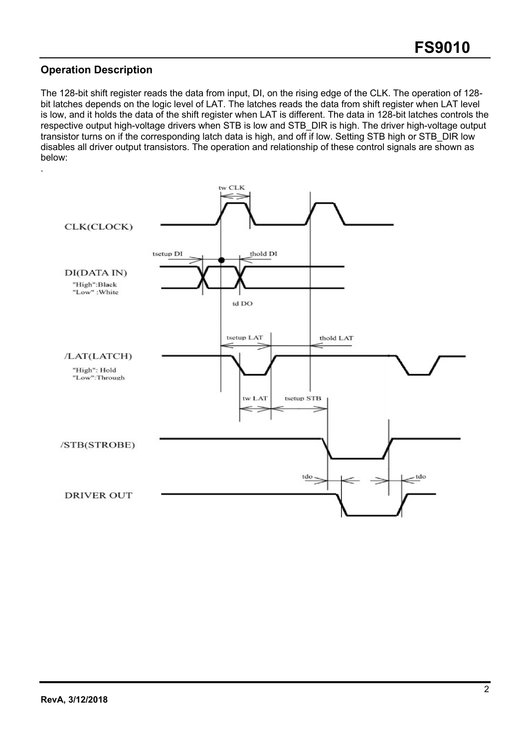# **Operation Description**

The 128-bit shift register reads the data from input, DI, on the rising edge of the CLK. The operation of 128 bit latches depends on the logic level of LAT. The latches reads the data from shift register when LAT level is low, and it holds the data of the shift register when LAT is different. The data in 128-bit latches controls the respective output high-voltage drivers when STB is low and STB\_DIR is high. The driver high-voltage output transistor turns on if the corresponding latch data is high, and off if low. Setting STB high or STB\_DIR low disables all driver output transistors. The operation and relationship of these control signals are shown as below:

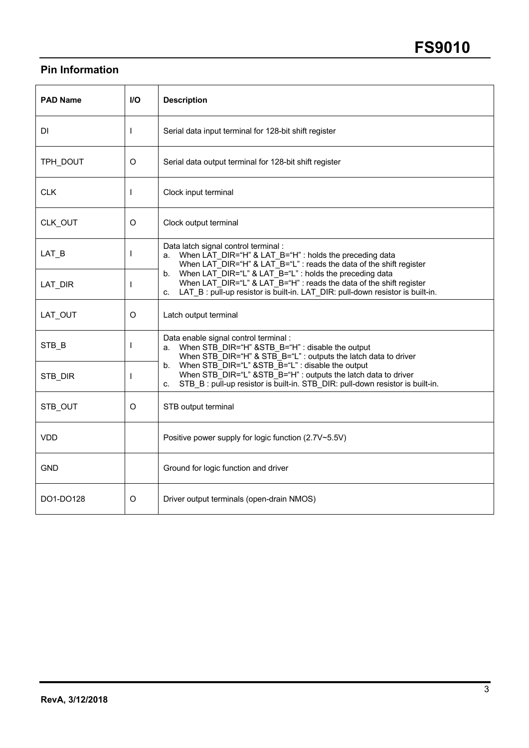# **Pin Information**

| <b>PAD Name</b> | I/O          | <b>Description</b>                                                                                                                                                                                                          |
|-----------------|--------------|-----------------------------------------------------------------------------------------------------------------------------------------------------------------------------------------------------------------------------|
| DI              | $\mathbf{I}$ | Serial data input terminal for 128-bit shift register                                                                                                                                                                       |
| TPH_DOUT        | $\circ$      | Serial data output terminal for 128-bit shift register                                                                                                                                                                      |
| <b>CLK</b>      | $\mathbf{I}$ | Clock input terminal                                                                                                                                                                                                        |
| CLK_OUT         | O            | Clock output terminal                                                                                                                                                                                                       |
| $LAT$ $B$       | $\mathbf{I}$ | Data latch signal control terminal :<br>When LAT_DIR="H" & LAT_B="H" : holds the preceding data<br>a.<br>When LAT DIR="H" & LAT B="L" : reads the data of the shift register                                                |
| LAT_DIR         | $\mathbf{I}$ | When LAT DIR="L" & LAT B="L" : holds the preceding data<br>b.<br>When LAT DIR="L" & LAT B="H" : reads the data of the shift register<br>LAT B: pull-up resistor is built-in. LAT DIR: pull-down resistor is built-in.<br>C. |
| LAT OUT         | O            | Latch output terminal                                                                                                                                                                                                       |
| STB B           | $\mathbf{I}$ | Data enable signal control terminal :<br>When STB DIR="H" & STB B="H" : disable the output<br>a.<br>When STB_DIR="H" & STB_B="L" : outputs the latch data to driver                                                         |
| STB_DIR         |              | When STB DIR="L" & STB B="L" : disable the output<br>b.<br>When STB DIR="L" & STB B="H" : outputs the latch data to driver<br>STB B: pull-up resistor is built-in. STB DIR: pull-down resistor is built-in.<br>C.           |
| STB OUT         | O            | STB output terminal                                                                                                                                                                                                         |
| <b>VDD</b>      |              | Positive power supply for logic function (2.7V~5.5V)                                                                                                                                                                        |
| <b>GND</b>      |              | Ground for logic function and driver                                                                                                                                                                                        |
| DO1-DO128       | O            | Driver output terminals (open-drain NMOS)                                                                                                                                                                                   |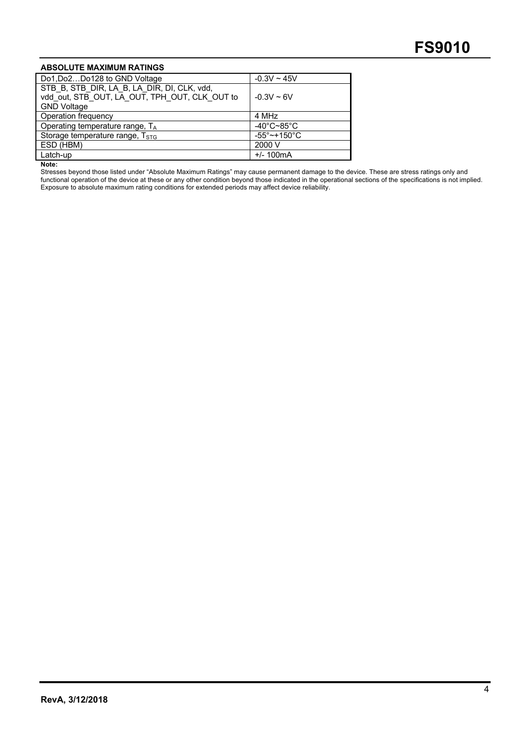#### **ABSOLUTE MAXIMUM RATINGS**

| Do1, Do2Do128 to GND Voltage                                                                 | $-0.3V - 45V$                      |
|----------------------------------------------------------------------------------------------|------------------------------------|
| STB B, STB DIR, LA B, LA DIR, DI, CLK, vdd,<br>vdd out, STB_OUT, LA_OUT, TPH_OUT, CLK_OUT to | $-0.3V - 6V$                       |
| <b>GND Voltage</b>                                                                           |                                    |
| Operation frequency                                                                          | 4 MHz                              |
| Operating temperature range, T <sub>A</sub>                                                  | $-40^{\circ}$ C~85 $^{\circ}$ C    |
| Storage temperature range, T <sub>STG</sub>                                                  | $-55^{\circ}$ ~ + 150 $^{\circ}$ C |
| ESD (HBM)                                                                                    | 2000 V                             |
| Latch-up                                                                                     | $+/- 100mA$                        |

**Note:**

Stresses beyond those listed under "Absolute Maximum Ratings" may cause permanent damage to the device. These are stress ratings only and functional operation of the device at these or any other condition beyond those indicated in the operational sections of the specifications is not implied. Exposure to absolute maximum rating conditions for extended periods may affect device reliability.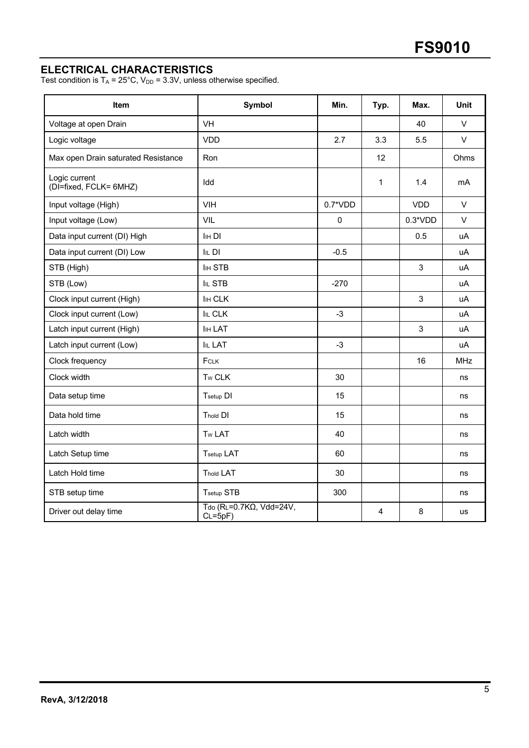# **ELECTRICAL CHARACTERISTICS**

Test condition is  $T_A = 25^{\circ}$ C, V<sub>DD</sub> = 3.3V, unless otherwise specified.

| <b>Item</b>                             | Symbol                               | Min.      | Typ.                    | Max.       | <b>Unit</b> |
|-----------------------------------------|--------------------------------------|-----------|-------------------------|------------|-------------|
| Voltage at open Drain                   | <b>VH</b>                            |           |                         | 40         | $\vee$      |
| Logic voltage                           | VDD                                  | 2.7       | 3.3                     | 5.5        | $\vee$      |
| Max open Drain saturated Resistance     | Ron                                  |           | 12                      |            | Ohms        |
| Logic current<br>(DI=fixed, FCLK= 6MHZ) | Idd                                  |           | 1                       | 1.4        | mA          |
| Input voltage (High)                    | <b>VIH</b>                           | $0.7*VDD$ |                         | <b>VDD</b> | $\vee$      |
| Input voltage (Low)                     | VIL                                  | 0         |                         | $0.3*VDD$  | $\vee$      |
| Data input current (DI) High            | <b>IHDI</b>                          |           |                         | 0.5        | uA          |
| Data input current (DI) Low             | $IIL$ DI                             | $-0.5$    |                         |            | uA          |
| STB (High)                              | <b>IIH STB</b>                       |           |                         | 3          | uA          |
| STB (Low)                               | IIL STB                              | $-270$    |                         |            | uA          |
| Clock input current (High)              | <b>IIH CLK</b>                       |           |                         | 3          | uA          |
| Clock input current (Low)               | <b>IIL CLK</b>                       | $-3$      |                         |            | uA          |
| Latch input current (High)              | IIH LAT                              |           |                         | 3          | uA          |
| Latch input current (Low)               | <b>IIL LAT</b>                       | $-3$      |                         |            | uA          |
| Clock frequency                         | FCLK                                 |           |                         | 16         | <b>MHz</b>  |
| Clock width                             | Tw CLK                               | 30        |                         |            | ns          |
| Data setup time                         | Tsetup DI                            | 15        |                         |            | ns          |
| Data hold time                          | <b>Thold DI</b>                      | 15        |                         |            | ns          |
| Latch width                             | Tw LAT                               | 40        |                         |            | ns          |
| Latch Setup time                        | <b>Tsetup LAT</b>                    | 60        |                         |            | ns          |
| Latch Hold time                         | <b>Thold LAT</b>                     | 30        |                         |            | ns          |
| STB setup time                          | Tsetup STB                           | 300       |                         |            | ns          |
| Driver out delay time                   | Tdo (RL=0.7KΩ, Vdd=24V,<br>$CL=5pF)$ |           | $\overline{\mathbf{4}}$ | 8          | <b>us</b>   |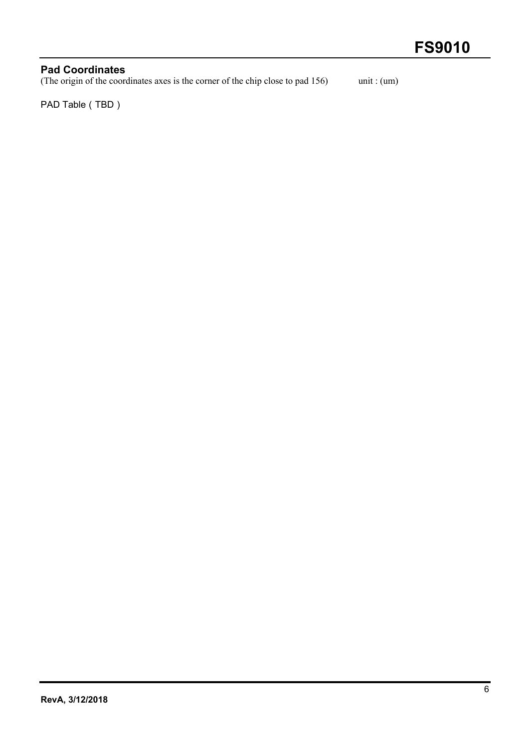# **Pad Coordinates** (The origin of the coordinates axes is the corner of the chip close to pad 156) unit : (um)

PAD Table (TBD)